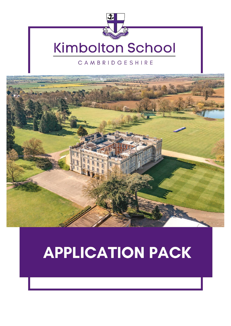

# **Kimbolton School**

#### CAMBRIDGESHIRE



# **APPLICATION PACK**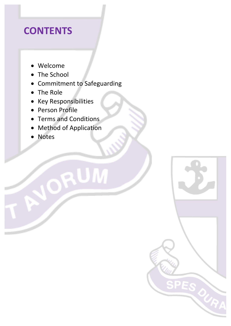## **CONTENTS**

- Welcome
- The School
- Commitment to Safeguarding

RUM

**SPES OU** 

- The Role
- Key Responsibilities
- Person Profile
- Terms and Conditions
- **Method of Application**
- **Notes**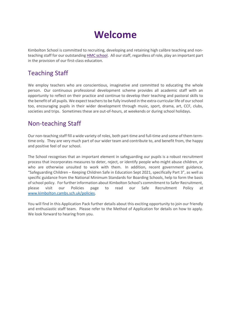## **Welcome**

Kimbolton School is committed to recruiting, developing and retaining high calibre teaching and nonteaching staff for our outstanding [HMC school.](http://www.hmcteachingcareers.org.uk/) All our staff, regardless of role, play an important part in the provision of our first-class education.

#### Teaching Staff

We employ teachers who are conscientious, imaginative and committed to educating the whole person. Our continuous professional development scheme provides all academic staff with an opportunity to reflect on their practice and continue to develop their teaching and pastoral skills to the benefit of all pupils. We expect teachers to be fully involved in the extra-curricular life of our school too, encouraging pupils in their wider development through music, sport, drama, art, CCF, clubs, societies and trips. Sometimes these are out-of-hours, at weekends or during school holidays.

### Non-teaching Staff

Our non-teaching staff fill a wide variety of roles, both part-time and full-time and some of them termtime only. They are very much part of our wider team and contribute to, and benefit from, the happy and positive feel of our school.

The School recognises that an important element in safeguarding our pupils is a robust recruitment process that incorporates measures to deter, reject, or identify people who might abuse children, or who are otherwise unsuited to work with them. In addition, recent government guidance, "Safeguarding Children – Keeping Children Safe in Education Sept 2021, specifically Part 3", as well as specific guidance from the National Minimum Standards for Boarding Schools, help to form the basis of school policy. For further information about Kimbolton School's commitment to Safer Recruitment, please visit our Policies page to read our Safe Recruitment Policy at [www.kimbolton.cambs.sch.uk/policies.](http://www.kimbolton.cambs.sch.uk/policies)

You will find in this Application Pack further details about this exciting opportunity to join our friendly and enthusiastic staff team. Please refer to the Method of Application for details on how to apply. We look forward to hearing from you.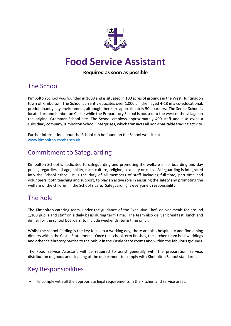

## **Food Service Assistant**

#### **Required as soon as possible**

### The School

Kimbolton School was founded in 1600 and is situated in 100 acres of grounds in the West Huntingdon town of Kimbolton. The School currently educates over 1,000 children aged 4-18 in a co-educational, predominantly day environment, although there are approximately 50 boarders. The Senior School is located around Kimbolton Castle while the Preparatory School is housed to the west of the village on the original Grammar School site. The School employs approximately 400 staff and also owns a subsidiary company, Kimbolton School Enterprises, which transacts all non-charitable trading activity.

Further information about the School can be found on the School website at [www.kimbolton.cambs.sch.uk.](file:///C:/Users/sjm2/Desktop/HR/www.kimbolton.cambs.sch.uk)

#### Commitment to Safeguarding

Kimbolton School is dedicated to safeguarding and promoting the welfare of its boarding and day pupils, regardless of age, ability, race, culture, religion, sexuality or class. Safeguarding is integrated into the School ethos. It is the duty of all members of staff including full-time, part-time and volunteers, both teaching and support, to play an active role in ensuring the safety and promoting the welfare of the children in the School's care. Safeguarding is everyone's responsibility.

#### The Role

The Kimbolton catering team, under the guidance of the Executive Chef, deliver meals for around 1,100 pupils and staff on a daily basis during term time. The team also deliver breakfast, lunch and dinner for the school boarders, to include weekends (term time only).

Whilst the school feeding is the key focus to a working day, there are also hospitality and fine dining dinners within the Castle State rooms. Once the school term finishes, the kitchen team host weddings and other celebratory parties to the public in the Castle State rooms and within the fabulous grounds.

The Food Service Assistant will be required to assist generally with the preparation, service, distribution of goods and cleaning of the department to comply with Kimbolton School standards.

### Key Responsibilities

• To comply with all the appropriate legal requirements in the kitchen and service areas.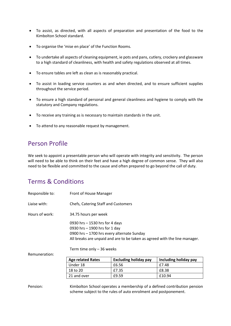- To assist, as directed, with all aspects of preparation and presentation of the food to the Kimbolton School standard.
- To organise the 'mise en place' of the Function Rooms.
- To undertake all aspects of cleaning equipment, ie pots and pans, cutlery, crockery and glassware to a high standard of cleanliness, with health and safety regulations observed at all times.
- To ensure tables are left as clean as is reasonably practical.
- To assist in loading service counters as and when directed, and to ensure sufficient supplies throughout the service period.
- To ensure a high standard of personal and general cleanliness and hygiene to comply with the statutory and Company regulations.
- To receive any training as is necessary to maintain standards in the unit.
- To attend to any reasonable request by management.

#### Person Profile

We seek to appoint a presentable person who will operate with integrity and sensitivity. The person will need to be able to think on their feet and have a high degree of common sense. They will also need to be flexible and committed to the cause and often prepared to go beyond the call of duty.

#### Terms & Conditions

| Responsible to: | Front of House Manager                                                                                                                                                                                                   |                                                                 |                                                                          |  |
|-----------------|--------------------------------------------------------------------------------------------------------------------------------------------------------------------------------------------------------------------------|-----------------------------------------------------------------|--------------------------------------------------------------------------|--|
| Liaise with:    | Chefs, Catering Staff and Customers                                                                                                                                                                                      |                                                                 |                                                                          |  |
| Hours of work:  | 34.75 hours per week                                                                                                                                                                                                     |                                                                 |                                                                          |  |
|                 | 0930 hrs - 1530 hrs for 4 days<br>0930 hrs - 1900 hrs for 1 day<br>0900 hrs - 1700 hrs every alternate Sunday<br>All breaks are unpaid and are to be taken as agreed with the line manager.<br>Term time only - 36 weeks |                                                                 |                                                                          |  |
| Remuneration:   |                                                                                                                                                                                                                          |                                                                 |                                                                          |  |
|                 | <b>Age related Rates</b>                                                                                                                                                                                                 | <b>Excluding holiday pay</b>                                    | Including holiday pay                                                    |  |
|                 | Under 18                                                                                                                                                                                                                 | £6.56                                                           | £7.48                                                                    |  |
|                 | 18 to 20                                                                                                                                                                                                                 | £7.35                                                           | £8.38                                                                    |  |
|                 | 21 and over                                                                                                                                                                                                              | £9.59                                                           | £10.94                                                                   |  |
| Pension:        |                                                                                                                                                                                                                          | scheme subject to the rules of auto enrolment and postponement. | Kimbolton School operates a membership of a defined contribution pension |  |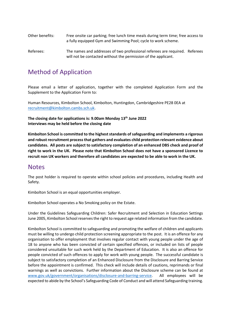| Other benefits: | Free onsite car parking; free lunch time meals during term time; free access to<br>a fully equipped Gym and Swimming Pool; cycle to work scheme. |  |  |  |
|-----------------|--------------------------------------------------------------------------------------------------------------------------------------------------|--|--|--|
| Referees:       | The names and addresses of two professional referees are required. Referees                                                                      |  |  |  |

will not be contacted without the permission of the applicant.

#### Method of Application

Please email a letter of application, together with the completed Application Form and the Supplement to the Application Form to:

Human Resources, Kimbolton School, Kimbolton, Huntingdon, Cambridgeshire PE28 0EA at [recruitment@kimbolton.cambs.sch.uk.](mailto:recruitment@kimbolton.cambs.sch.uk)

**The closing date for applications is: 9.00am Monday 13th June 2022 Interviews may be held before the closing date**

**Kimbolton School is committed to the highest standards of safeguarding and implements a rigorous and robust recruitment process that gathers and evaluates child protection relevant evidence about candidates. All posts are subject to satisfactory completion of an enhanced DBS check and proof of right to work in the UK. Please note that Kimbolton School does not have a sponsored Licence to recruit non UK workers and therefore all candidates are expected to be able to work in the UK.**

#### **Notes**

The post holder is required to operate within school policies and procedures, including Health and Safety.

Kimbolton School is an equal opportunities employer.

Kimbolton School operates a No Smoking policy on the Estate.

Under the Guidelines Safeguarding Children: Safer Recruitment and Selection in Education Settings June 2005, Kimbolton School reserves the right to request age related information from the candidate.

Kimbolton School is committed to safeguarding and promoting the welfare of children and applicants must be willing to undergo child protection screening appropriate to the post. It is an offence for any organisation to offer employment that involves regular contact with young people under the age of 18 to anyone who has been convicted of certain specified offences, or included on lists of people considered unsuitable for such work held by the Department of Education. It is also an offence for people convicted of such offences to apply for work with young people. The successful candidate is subject to satisfactory completion of an Enhanced Disclosure from the Disclosure and Barring Service before the appointment is confirmed. This check will include details of cautions, reprimands or final warnings as well as convictions. Further information about the Disclosure scheme can be found at [www.gov.uk/government/organisations/disclosure-and-barring-service.](http://www.gov.uk/government/organisations/disclosure-and-barring-service) All employees will be expected to abide by the School's Safeguarding Code of Conduct and will attend Safeguarding training.